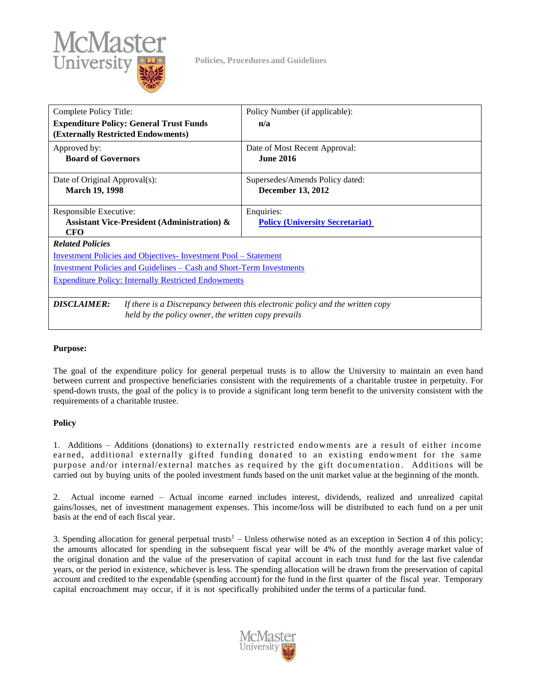

**Policies, Procedures and Guidelines**

| Complete Policy Title:                                                                                                                                     | Policy Number (if applicable):                              |
|------------------------------------------------------------------------------------------------------------------------------------------------------------|-------------------------------------------------------------|
| <b>Expenditure Policy: General Trust Funds</b><br>(Externally Restricted Endowments)                                                                       | n/a                                                         |
| Approved by:<br><b>Board of Governors</b>                                                                                                                  | Date of Most Recent Approval:<br><b>June 2016</b>           |
| Date of Original Approval(s):<br><b>March 19, 1998</b>                                                                                                     | Supersedes/Amends Policy dated:<br><b>December 13, 2012</b> |
| Responsible Executive:<br><b>Assistant Vice-President (Administration) &amp;</b><br>CFO                                                                    | Enquiries:<br><b>Policy (University Secretariat)</b>        |
| <b>Related Policies</b>                                                                                                                                    |                                                             |
| <u><b>Investment Policies and Objectives-Investment Pool – Statement</b></u>                                                                               |                                                             |
| <u><b>Investment Policies and Guidelines – Cash and Short-Term Investments</b></u>                                                                         |                                                             |
| <b>Expenditure Policy: Internally Restricted Endowments</b>                                                                                                |                                                             |
| <b>DISCLAIMER:</b><br>If there is a Discrepancy between this electronic policy and the written copy<br>held by the policy owner, the written copy prevails |                                                             |

## **Purpose:**

The goal of the expenditure policy for general perpetual trusts is to allow the University to maintain an even hand between current and prospective beneficiaries consistent with the requirements of a charitable trustee in perpetuity. For spend-down trusts, the goal of the policy is to provide a significant long term benefit to the university consistent with the requirements of a charitable trustee.

## **Policy**

1. Additions – Additions (donations) to externally restricted endo wments are a result of either income earned, additional externally gifted funding donated to an existing endowment for the same purpose and/or internal/external matches as required by the gift documentation. Additions will be carried out by buying units of the pooled investment funds based on the unit market value at the beginning of the month.

2. Actual income earned – Actual income earned includes interest, dividends, realized and unrealized capital gains/losses, net of investment management expenses. This income/loss will be distributed to each fund on a per unit basis at the end of each fiscal year.

3. Spending allocation for general perpetual trusts<sup>1</sup> – Unless otherwise noted as an exception in Section 4 of this policy; the amounts allocated for spending in the subsequent fiscal year will be 4% of the monthly average market value of the original donation and the value of the preservation of capital account in each trust fund for the last five calendar years, or the period in existence, whichever is less. The spending allocation will be drawn from the preservation of capital account and credited to the expendable (spending account) for the fund in the first quarter of the fiscal year. Temporary capital encroachment may occur, if it is not specifically prohibited under the terms of a particular fund.